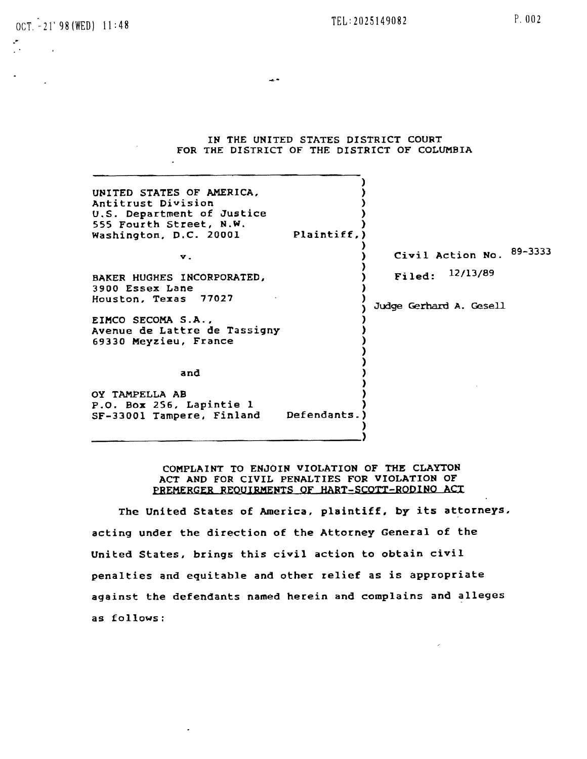OCT. -21'98(WED) 11:48 P. 002

0"

 $\sim 10^{11}$ 

IN THE UNITED STATES DISTRICT COURT FOR THE DISTRICT OF THE DISTRICT OF COLUMBIA

---

| UNITED STATES OF AMERICA,<br>Antitrust Division<br>U.S. Department of Justice<br>555 Fourth Street, N.W.<br>Plaintiff,)<br>Washington, D.C. 20001 |                             |
|---------------------------------------------------------------------------------------------------------------------------------------------------|-----------------------------|
| $\mathbf{v}$ .                                                                                                                                    | 89-3333<br>Civil Action No. |
| BAKER HUGHES INCORPORATED,<br>3900 Essex Lane                                                                                                     | Filed: 12/13/89             |
| Houston, Texas 77027                                                                                                                              | Judge Gerhard A. Gesell     |
| EIMCO SECOMA S.A.,<br>Avenue de Lattre de Tassigny<br>69330 Meyzieu, France                                                                       |                             |
| and                                                                                                                                               |                             |
| OY TAMPELLA AB<br>P.O. Box 256, Lapintie 1<br>Defendants.<br>SF-33001 Tampere, Finland                                                            |                             |

COMPLAINT TO ENJOIN VIOLATION OF THE CLAYTON ACT AND FOR CIVIL PENALTIES FOR VIOLATION OF PREMERGER REQUIRMENTS OF HART-SCOTT-RODINO ACT

The United States of America, plaintiff, by its attorneys, acting under the direction of the Attorney General of the United States, brings this civil action to obtain civil penalties and equitable and other relief as is appropriate against the defendants named herein and complains and alleges as follows: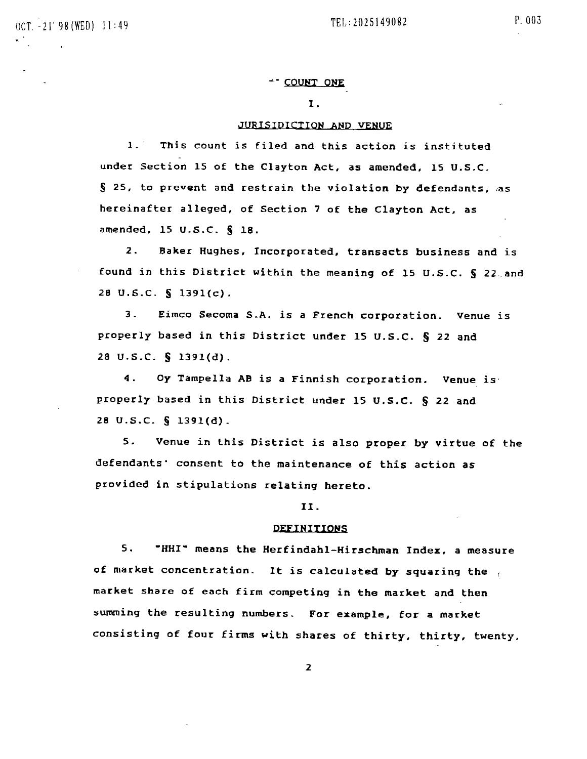## ~- COUNT ONE

## 1.

# JURISIDICTION AND VENUE

1.' This count is filed and this action is instituted under Section 15 of the Clayton Act, as amended, 15 U.S.C.  $§$  25, to prevent and restrain the violation by defendants, as hereinafter alleged, of Section 7 of the Clayton Act, as amended. 15 U.S.C. § 18.

2. Baker Hughes, Incorporated. transacts business and is found in this District within the meaning of 15 U.S.C. § 22. and 28 U.S.C. § 1391(c).

3. Eimco Secoma S.A. is a French corporation. Venue is properly based in this District under 15 U.S.C. § 22 and 28 U.S.C. § 1391(d).

4. Oy Tampella AB is a Finnish corporation. Venue is' properly based in this District under 15 U.S.C. § 22 and 28 U.S.C. § 1391(d).

S. Venue in this District is also proper by virtue of the defendants' consent to the maintenance of this action as provided in stipulations relating hereto.

## II.

#### DEFINITIONS

S. "HHI" means the Herfindahl-Hirschman Index, a measure of market concentration. It is calculated by squaring the market share of each firm competing in the market and then summing the reSUlting numbers. For example, for a market consisting of four firms with shares of thirty. thirty, twenty,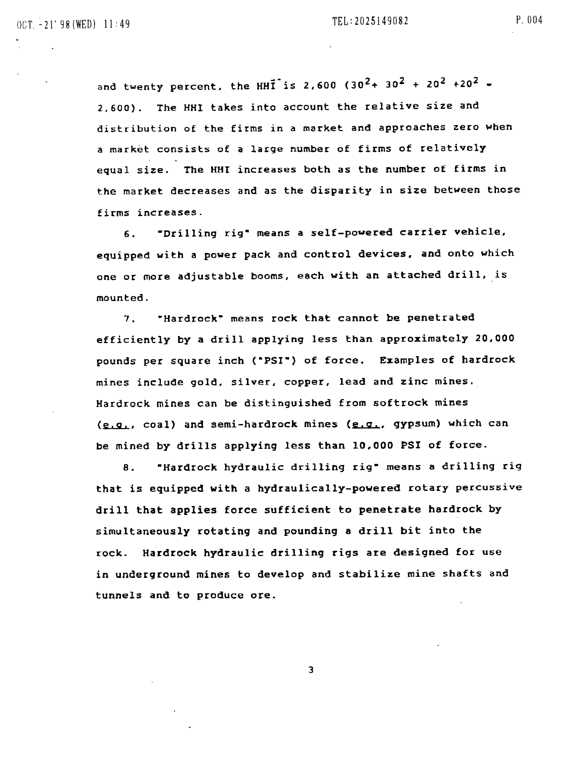and twenty percent, the HHI<sup>T</sup> is 2,600 (30<sup>2</sup> + 30<sup>2</sup> + 20<sup>2</sup> + 20<sup>2</sup> = 2,600). The HHI takes into account the relative size and distribution of the firms in a market and approaches zero when a market consists of a large number of firms of relatively equal size. The HHI increases both as the number of firms in the market decreases and as the disparity in size between those firms increases.

6. **"Drilling rig" means a self-powered carrier vehicle,** equipped with a power pack and control devices, and onto which one or more adjustable booms, each with an attached drill, is mounted.

7. -Hardrock- means rock that cannot be penetrated efficiently by a drill applying less than approximately 20,000 pounds per square inch (-PSI-) of force. Examples of hardrock mines include gold. silver, copper, lead and zinc mines. Hardrock mines can be distinguished from softrock mines  $(e,q_1, coal)$  and semi-hardrock mines  $(e,q_1, qypsum)$  which can be mined by drills applying less than 10,000 PSI of force.

B. -Hardrock hydraulic drilling rig- means a drilling rig that is equipped with a hydraulically-powered rotary percussive drill that applies force sufficient to penetrate hardrock by simultaneously rotating and pounding a drill bit into the rock. Hardrock hydraulic drilling rigs are designed for use in underground mines to develop and stabilize mine shafts and tunnels and to produce ore.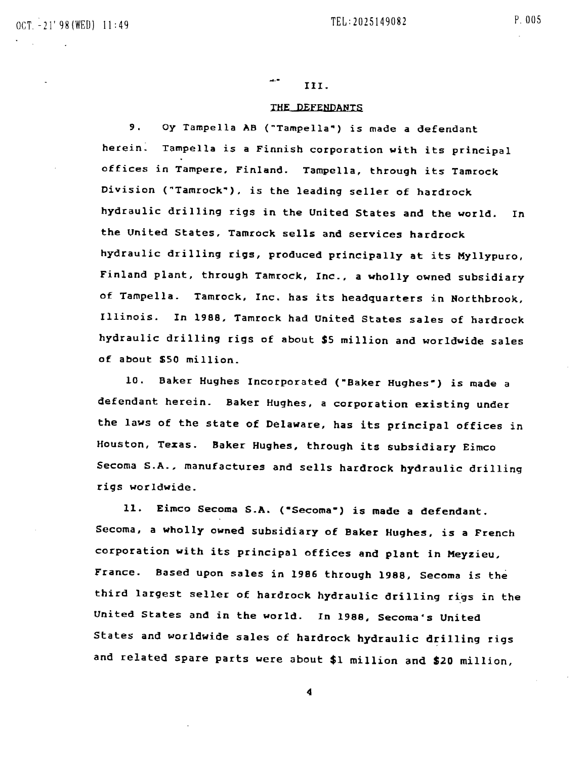د مہ III.

## THE DEFENDANTS

9. Oy Tampella AB ("Tampella~) is made a defendant herein: Tampella is a Finnish corporation with its principal offices in Tampere. Finland. Tampella, through its Tamrock Division (~Tamrock~), is the leading seller of hardtock hydraulic drilling rigs in the United States and the world. In the United States, Tamrock sells and services hardrock hydraulic drilling rigs, produced principally at its Myllypuro, Finland plant, through Tamrock, Inc., a wholly owned subsidiary of Tampella. Tamrock, Inc. has its headquarters in Northbrook, Illinois. In 1988. Tamrock had United States sales of hardrock hydraulic drilling rigs of about \$S million and worldwide sales of about *\$50* million.

10. Baker Hughes Incorporated ("Baker Hughes") is made a defendant herein. Baker Hughes, a corporation existing under the laws of the state of Delaware, has its principal offices in Houston, Texas. 8aker Hughes, through its subsidiary Eimco Secoma S.A., manufactures and sells hardrock hydraulic drilling rigs worldwide.

11. Eimco Secoma S.A. ("Secoma") is made a defendant. Secoma, a wholly owned subsidiary of Baker Hughes, is a French corporation with its principal offices and plant in Meyzieu. France. Based upon sales in 1986 through 1988. Secoma is the third largest seller of hardrock hydraulic drilling rigs in the United States and in the world. In 1988, Secoma's United States and worldwide sales of hardrock hydraulic drilling rigs and related spare parts were about \$1 million and \$20 million,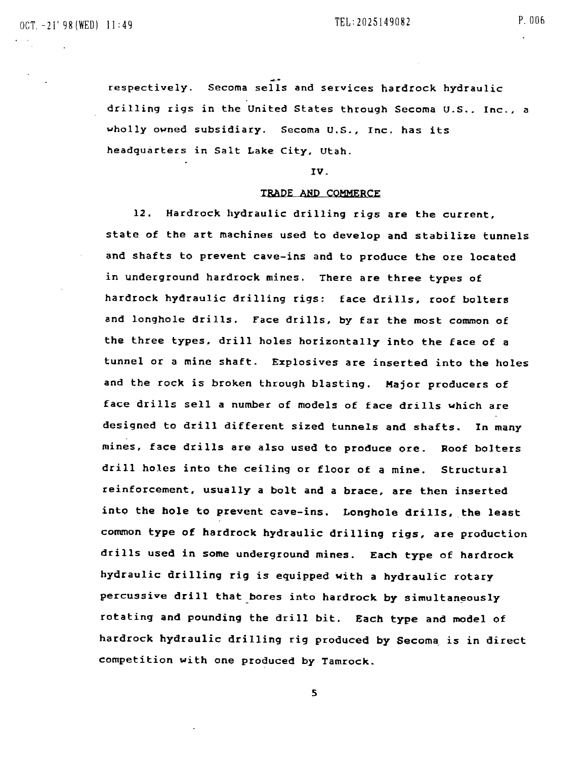respectively. Secoma sells and services hardrock hydraulic drilling rigs in the United States through Secoma U.S., Inc., a wholly owned subsidiary. Secoma U.S., Inc. has its headquarters in Salt Lake City. utah.

#### IV.

#### TRADE AND COMMERCE

12. Hardtock hydraulic drilling rigs are the current. state of the art machines used to develop and stabilize tunnels and shafts to prevent cave-ins and to produce the ore located in underground hardrock mines. There are three types of hardrock hydraulic drilling rigs: face drills, roof bolters and longhole drills. Face drills, by far the most common of the three types. drill holes horizontally into the face of a tunnel or a mine shaft. Explosives are inserted into the holes and the rock is broken through blasting. Major producers of face drills sell a number of models of face drills which are designed to drill different sized tunnels and shafts. In many mines, face drills are also used to produce ore. Roof bolters drill holes into the ceiling or floor of a mine. Structural reinforcement, usually a bolt and a brace, are then inserted into the hole to prevent cave-ins. Longhole drills, the least common type of hardrock hydraulic drilling rigs, are production drills used in some underground mines. Each type of hardrock hydraulic drilling rig is equipped with a hydraulic rotary percussive drill that bores into hardrock by simultaneously rotating and pounding the drill bit. Each type and model of hardrock hydraulic drilling rig produced by Secoma, is in direct competition with one produced by Tamrock.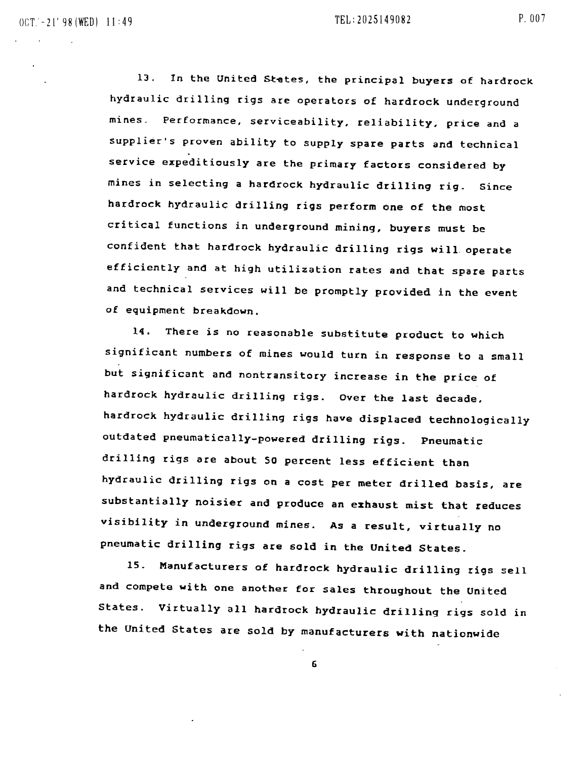13. In the United States, the principal buyers of hardrock hydraulic drilling rigs are operators of hardrock underground mines. Performance, serviceability, reliability, price and a supplier's proven ability to supply spare parts and technical service expeditiously are the primary factors considered by mines in selecting a hardrock hydraulic drilling rig. Since hardrock hydraulic drilling rigs perform one of the most critical functions in underground mining, buyers must be confident that hardrock hydraulic drilling rigs will operate efficiently and at high utilization rates and that spare parts and technical services will be promptly provided in the event of equipment breakdown.

14. There is no reasonable substitute product to which significant numbers of mines would turn in response to a small but significant and nontransitory increase in the price of hardrock hydraulic drilling rigs. Over the last decade, hardrock hydraulic drilling rigs have displaced technologically outdated pneumatically-powered drilling rigs. Pneumatic drilling rigs are about SO percent less efficient than hydraulic drilling rigs on a cost per meter drilled basis, are substantially noisier and produce an exhaust mist that reduces visibility in underground mines. As a result, virtually no pneumatic drilling rigs are sold in the United States.

IS. Manufacturers of hardtock hydraulic drilling rigs sell and compete with one another for sales throughout the United States. Virtually all hardrock hydraulic drilling rigs sold in the united States are sold by manufacturers with nationwide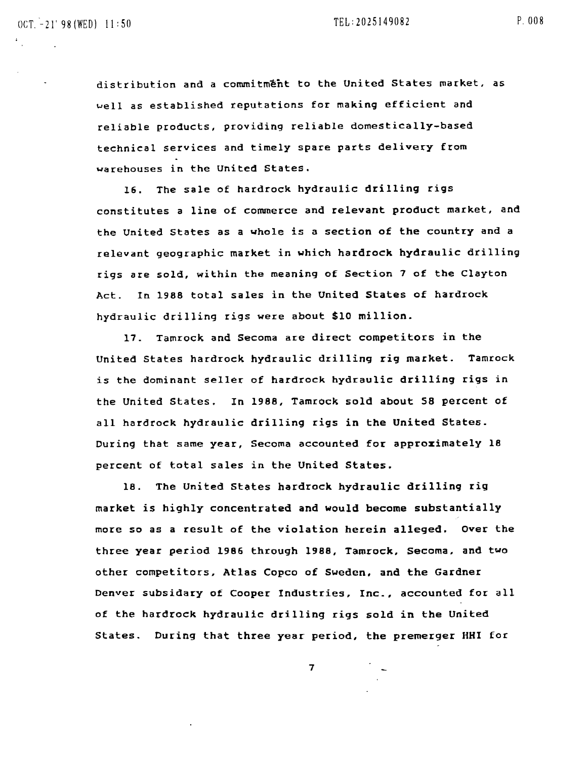distribution and a commitment to the United States market, as ~ell as established reputations for making efficient and reliable products, providing reliable domestically-based technical services and timely spare parts delivery from warehouses in the United States.

16. The sale of hardrock hydraulic drilling rigs constitutes a line of commerce and relevant product market, and the United States as a whole is a section of the country and a relevant geographic market in which hardrock hydraulic drilling rigs are sold, within the meaning of Section 7 of the Clayton Act. In 1988 total sales in the United States of hardrock hydraulic drilling rigs were about \$10 million.

17. Tamrock and Secoma are direct competitors in the United states hardrock hydraulic drilling rig market. Tamrock is the dominant seller of hardrock hydraulic drilling rigs in the United States. In 1988, Tamrock sold about 58 percent of all hardrock hydraulic drilling rigs in the United States. During that same year, Secoma accounted for approximately 18 percent of total sales in the united States.

18. The United States hardrock hydraulic drilling rig market is highly concentrated and would become substantially more so as a result of the violation herein alleged. Over the three year period 1986 through 1988, Tamrock, Secoma, and two other competitors. Atlas Copco of Sweden. and the Gardner Denver subsidary of Cooper Industries, Inc., accounted for all of the hardrock hydraulic drilling rigs sold in the United States. During that three year period, the premerger HHI for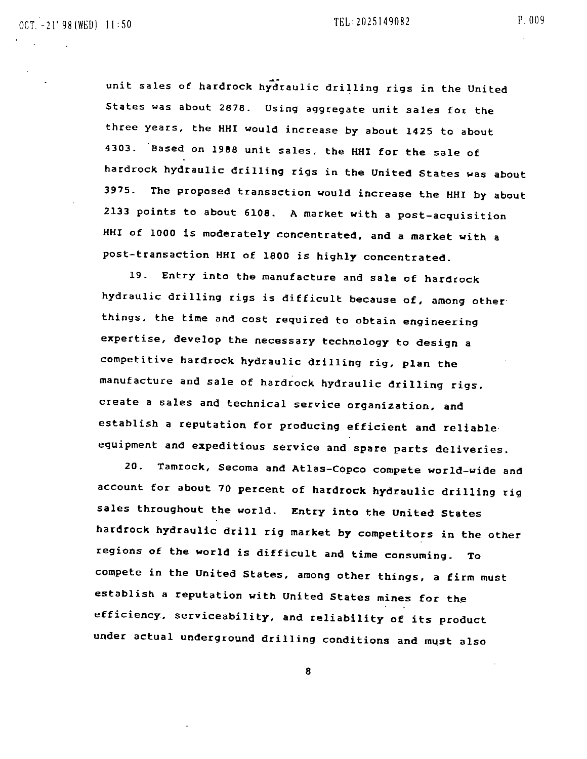unit sales of hardrock hydraulic drilling rigs in the United states was about 2878. Using aggregate unit sales for the three years, the HHI would increase by about 1425 to about

4303. Based on 1988 unit sales, the HHI for the sale of hardrock hydraulic drilling rigs in the United States was about 3975. The proposed transaction would increase the HHI by about 2133 points to about 6108. A market with a post-acquisition HHI of 1000 is moderately concentrated, and a market with a post-transaction HHI of 1800 is highly concentrated.

19. Entry into the manufacture and sale of hardrock hydraulic drilling rigs is difficult because of, among other things. the time and cost required to obtain engineering expertise, develop the necessary technology to design a competitive hardrock hydraulic drilling rig, plan the manufacture and sale of hardrock hydraulic drilling rigs. create a sales and technical service organization. and establish a reputation for producing efficient and reliable' equipment and expeditious service and spare parts deliveries.

20. Tamrock, Secoma and Atlas-Copco compete world-wide and account for about 70 percent of hardrock hydraulic drilling rig sales throughout the world. Entry into the United States hardrock hydraulic drill rig market by competitors in the other regions *ot* the world is difficult and time consuming. To compete in the United States, among other things, a firm must establish a reputation with United States mines for the efficiency, serviceability, and reliability of its product under actual underground drilling conditions and must also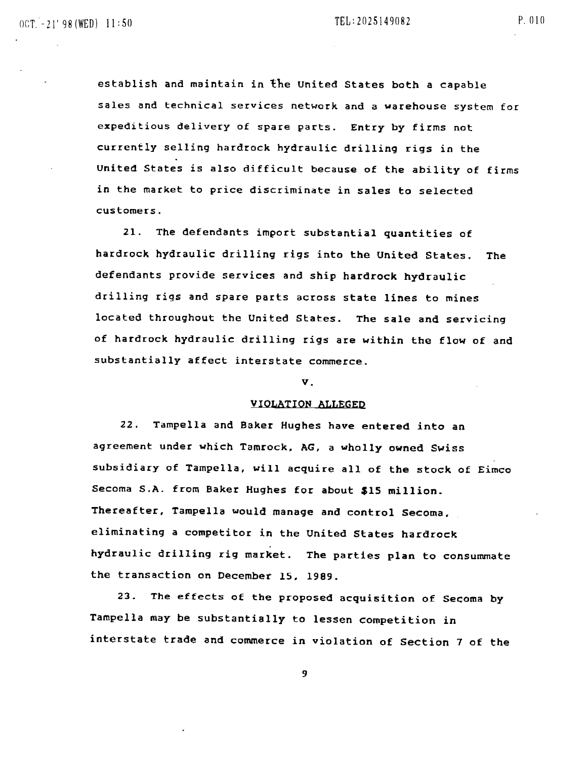establish and maintain in the united States both a capable sales and technical services network and a warehouse system for expeditious delivery of spare parts. Entry by firms not currently selling hardrock hydraulic drilling rigs in the united States is also difficult because of the ability of firms in the market to price discriminate in sales to selected customers.

21. The defendants import substantial quantities of hardrock hydraulic drilling rigs into the united States. The defendants provide services and ship hardrock hydraulic drilling rigs and spare parts across state lines to mines located throughout the United States. The sale and servicing of hardrock hydraulic drilling rigs are within the flow of and substantially affect interstate commerce.

## v.

#### VIOLATION ALLEGEQ

22. Tampella and Baker Hughes have entered into an agreement under which Tamrock, AG, a wholly owned Swiss subsidiary of Tampella, will acquire all of the stock of Eimco Secoma S.A. from Baker Hughes for about \$15 million. Thereafter, Tampella would manage and control Secoma. eliminating a competitor in the United States hardrock hydraulic drilling rig market. The parties plan to consummate the transaction on December 15. 1989.

23. The effects of the proposed acquisition of Secoma by Tampella may be substantially to lessen competition in interstate trade and commerce in violation of Section 7 of the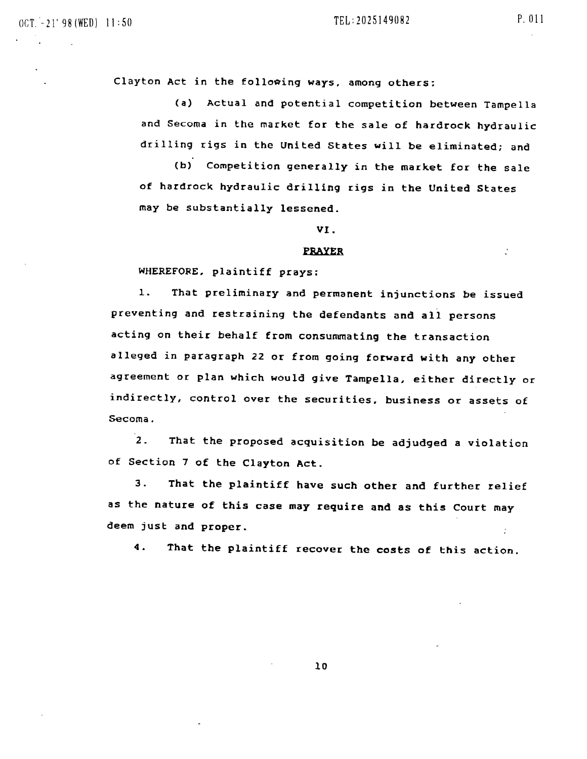$\sim$ 

Clayton Act in the following ways, among others:

(a) Actual and potential competition between Tampella and Secoma in the market for the sale of hardrock hydraulic drilling rigs in the United States will be eliminated; and

(b) Competition generally in the market for the sale of hardrock hydraulic drilling rigs in the United States may be substantially lessened.

VI.

#### PRAYER

WHEREFORE, plaintiff prays:

1. That preliminary and permanent injunctions be issued preventing and restraining the defendants and all persons acting on their behalf from consummating the transaction alleged in paragraph 22 or from going forward with any other agreement or plan which would give Tampella. either directly or indirectly, control over the securities. business or assets of Secoma.

2. That the proposed acquisition be adjudged a violation of Section 7 of the Clayton Act.

3. That the plaintiff have such other and further relief as the nature of this case may require and as this Court may deem just and proper.  $\gamma$ 

4. That the plaintiff recover the costs of this action.

10

÷.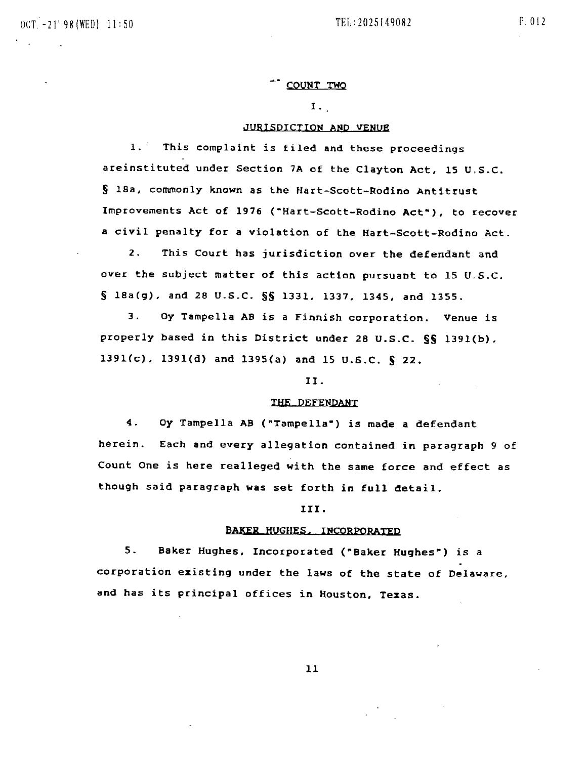## COUNT TWO

I.

# JURISDICTION AND VENUE

1. This complaint is filed and these proceedings areinstituted under Section 7A of the Clayton Act, 15 U.S.C. S 18a, commonly known as the Hart-Scott-Rodino Antitrust Improvements Act of 1976 ("Hart-Scott-Rodino Act"), to recover a civil penalty for a violation of the Hart-Scott-Rodino Act.

2. This Court has jurisdiction over the defendant and over the subject matter of this action pursuant to 15 U.S.C. S 18a(g), and 28 U.S.C. §§ 1331, 1337, 1345, and 1355.

3. Oy Tampella AS is a Finnish corporation. Venue is properly based in this District under 28 U.S.C. §§ 1391(b), 1391(c), 1391(d) and 1395(a) and 15 U.S.C. § 22.

II.

#### THE DEFENPANT

4. Oy Tampella AB ("Tampella-) is made a defendant herein. Each and every allegation contained in paragraph 9 of Count One is here realleged with the same force and effect as though said paragraph was set forth in full detail.

## III.

## BAKER HUGHES, INCORPORATED

5. Baker Hughes, Incorporated (~Baker Hughes~) is a corporation existing under the laws of the state of Delaware, and has its principal offices in Houston, Texas.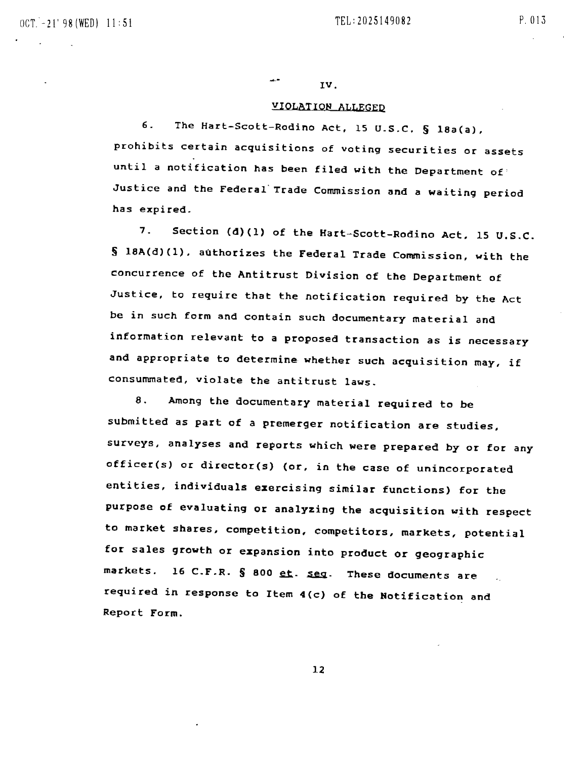أكالمها IV.

## VIOLAtIQN ALLEGED

6. The Hart-Scott-Rodino Act, 15 U.S.C. § 18a(a), prohibits certain acquisitions of voting securities or assets until a notification has been filed with the Department of Justice and the Federal'Trade Commission and a waiting period has expired.

7. Section (d)(l) of the Hart~5cott-Rodino Act, 15 U.S.C. § l8A(d)(1). authorizes the Federal Trade Commission, with the concurrence of the Antitrust Division of the Department of Justice, to require that the notification required by the Act be in such form and contain such documentary material and information relevant to a proposed transaction as is necessary and appropriate to determine whether such acquisition may, if consummated, violate the antitrust laws.

8. Among the documentary material required to be submitted as part of a premerger notification are studies, surveys, analyses and reports which were prepared by or for any officer(s) or director(s) (or, in the case of unincorporated entities, individuals exercising similar functions) for the purpose of evaluating or analyzing the acquisition with respect to market shares, competition, competitors, markets, potential for sales growth or expansion into product or geographic markets. 16 C.F.R.  $\S$  800  $et.$  seg. These documents are required in response to Item 4{c) of the Notification and Report Form.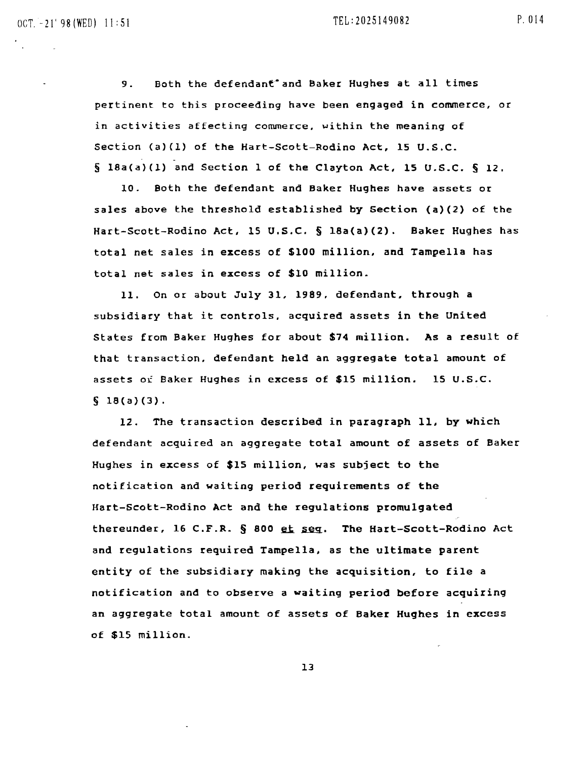9. Both the defendant<sup>-</sup>and Baker Hughes at all times pertinent to this proceeding have been engaged in commerce, or in activities affecting commerce, within the meaning of section (a)(I) of the Hart-Scott-Rodino Act, 15 U.S.C.  $\S$  18a(a)(1) and Section 1 of the Clayton Act, 15 U.S.C.  $\S$  12.

10. Both the defendant and Baker Hughes have assets or sales above the threshold established by Section (a)(2) of the Hart-Scott-Rodino Act. 15 U.S.C. § 18a(a)(2). Baker Hughes has total net sales in excess of \$100 million, and Tampella has total net sales in excess of \$10 million.

11. On Or about July 31, 1989, defendant, through a subsidiary that it controls, acquired assets in the united States from Baker Hughes for about \$74 million. As a result of that transaction, defendant held an aggregate total amount of assets of Baker Hughes in excess of \$15 million. 15 U.S.C.  $$18(a)(3).$ 

12. The transaction described in paragraph 11. by which defendant acquired an aggregate total amount of assets of Baker Hughes in excess of \$15 million, was subject to the notification and waiting period requirements of the Hart-Scott-Rodino Act and the regulations promulgated thereunder, 16 C.F.R. § 800 et seg. The Hart-Scott-Rodino Act and regulations required Tampella. as the ultimate parent entity of the subsidiary making the acquisition, to file a notification and to observe a waiting period before acquiring an aggregate total amount of assets of Baker Hughes in excess of \$15 million.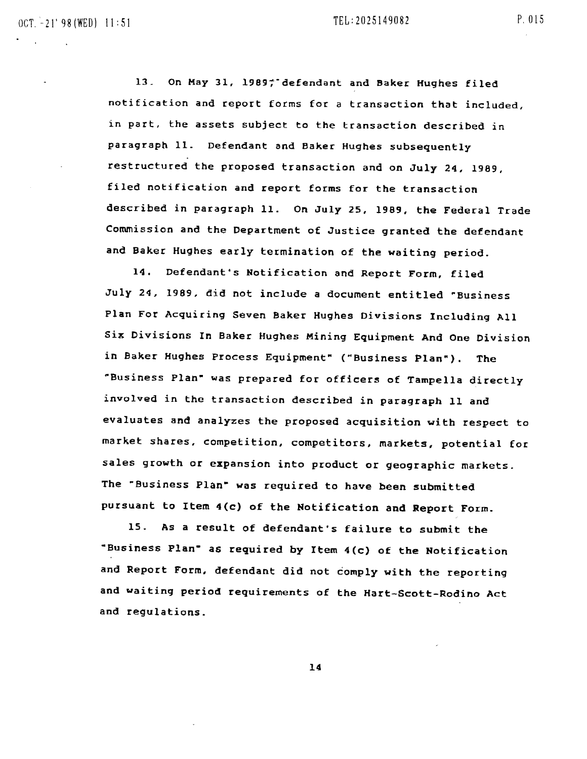13. On May 31, 1989; defendant and Baker Hughes filed notification and report forms for a transaction that included, in part, the assets subject to the transaction described in paragraph 11. Defendant and Baker Hughes subsequently restructured the proposed transaction and on July 24. 1989, filed notification and report forms for the transaction described in paragraph 11. On July 25, 1989, the Federal Trade Commission and the Department of Justice granted the defendant and Baker Hughes early termination of the waiting period.

14. Defendant's Notification and Report Form, filed July 24. 1989, did not include a document entitled ~Business Plan For Acquiring Seven Baker Hughes Divisions Including All Six Divisions In Baker Hughes Mining Equipment And One Division in Baker Hughes Process Equipment~ ("Business Plan~). The ~Business Plan~ was prepared for officers of Tampella directly involved in the transaction described in paragraph 11 and evaluates and analyzes the proposed acquisition with respect to market shares. competition, competitors. markets, potential for sales growth or expansion into product or geographic markets. The "Business Plan- was required to have been SUbmitted pursuant to Item 4(C) of the Notification and Report Form.

IS. As a result of defendant's failure to submit the -Bu6iness Plan- as required by Item 4(c) of the Notification and Report Form. defendant did not comply with the reporting and waiting period requirements of the Hart-Scott-Rodino Act and regulations.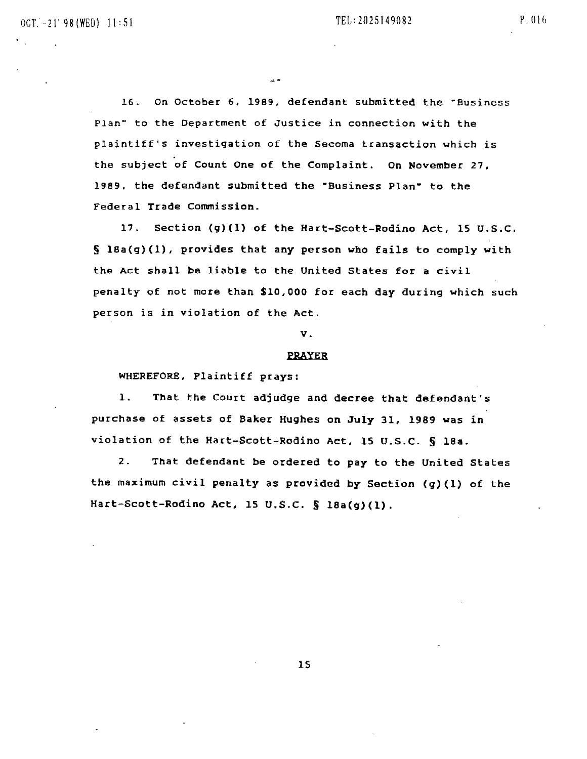P. 016

16. On October 6, 1989, defendant submitted the ~Business Plan" to the Department of Justice in connection with the plaintiff's investigation of the Secoma transaction which is . the subject of Count One of the Complaint. On November 27, 1989, the defendant submitted the "Business Plan" to the Federal Trade Commission.

17. section (9)(1) of the Hart-Scott-Rodino Act, IS U.S.C. § 18a(g)(1), provides that any person who fails to comply with the Act shall be liable to the United states for a civil penalty of not more than \$10,000 for each day during which such person is in violation of the Act.

v.

#### PRAYER

WHEREFORE, Plaintiff prays:

1. That the Court adjudge and decree that defendant·s purchase of assets of Baker Hughes on July 31, 1989 was in violation of the Hart-Scott-Rodino Act, 15 U.S.C. § 18a.

2. That defendant be ordered to pay to the United States the maximum civil penalty as provided by Section (9)(1) of the Hart-Scott-Rodino Act. IS U.S.C. § 18a(9)(1).